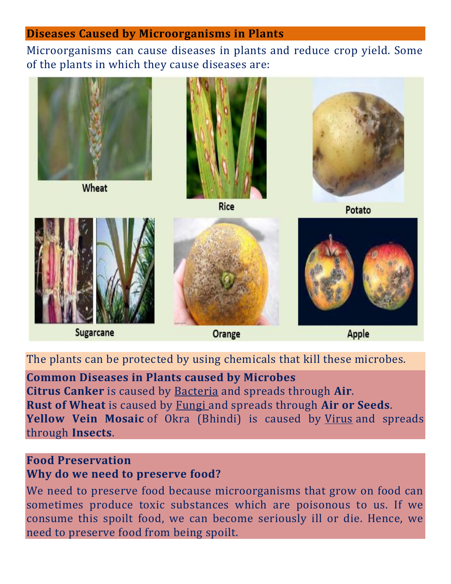### **Diseases Caused by Microorganisms in Plants**

Microorganisms can cause diseases in plants and reduce crop yield. Some of the plants in which they cause diseases are:



The plants can be protected by using chemicals that kill these microbes.

## **Common Diseases in Plants caused by Microbes**

**Citrus Canker** is caused by Bacteria and spreads through **Air**. **Rust of Wheat** is caused by Fungi and spreads through **Air or Seeds**. **Yellow Vein Mosaic** of Okra (Bhindi) is caused by Virus and spreads through **Insects**.

## **Food Preservation Why do we need to preserve food?**

We need to preserve food because microorganisms that grow on food can sometimes produce toxic substances which are poisonous to us. If we consume this spoilt food, we can become seriously ill or die. Hence, we need to preserve food from being spoilt.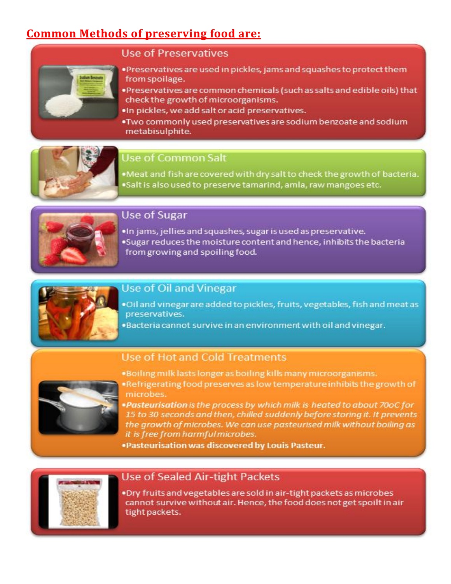# **Common Methods of preserving food are:**



#### **Use of Preservatives**

- . Preservatives are used in pickles, jams and squashes to protect them from spoilage.
- . Preservatives are common chemicals (such as salts and edible oils) that check the growth of microorganisms.
- . In pickles, we add salt or acid preservatives.
- . Two commonly used preservatives are sodium benzoate and sodium metabisulphite.



#### Use of Common Salt

.Meat and fish are covered with dry salt to check the growth of bacteria. .Salt is also used to preserve tamarind, amla, raw mangoes etc.



## **Use of Sugar**

. In jams, jellies and squashes, sugar is used as preservative. .Sugar reduces the moisture content and hence, inhibits the bacteria from growing and spoiling food.



### **Use of Oil and Vinegar**

- . Oil and vinegar are added to pickles, fruits, vegetables, fish and meat as preservatives.
- .Bacteria cannot survive in an environment with oil and vinegar.



#### Use of Hot and Cold Treatments

- .Boiling milk lasts longer as boiling kills many microorganisms.
- . Refrigerating food preserves as low temperature inhibits the growth of microbes.
	- .Pasteurisation is the process by which milk is heated to about 70oC for 15 to 30 seconds and then, chilled suddenly before storing it. It prevents the growth of microbes. We can use pasteurised milk without boiling as it is free from harmful microbes.
- . Pasteurisation was discovered by Louis Pasteur.



### **Use of Sealed Air-tight Packets**

. Dry fruits and vegetables are sold in air-tight packets as microbes cannot survive without air. Hence, the food does not get spoilt in air tight packets.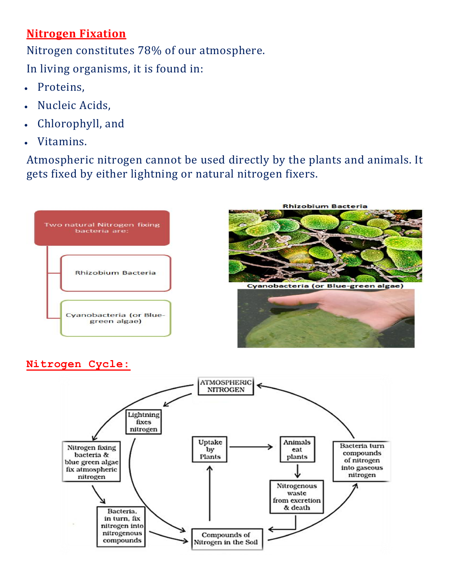# **Nitrogen Fixation**

Nitrogen constitutes 78% of our atmosphere.

In living organisms, it is found in:

- Proteins,
- Nucleic Acids,
- Chlorophyll, and
- Vitamins.

Atmospheric nitrogen cannot be used directly by the plants and animals. It gets fixed by either lightning or natural nitrogen fixers.



## **Nitrogen Cycle:**